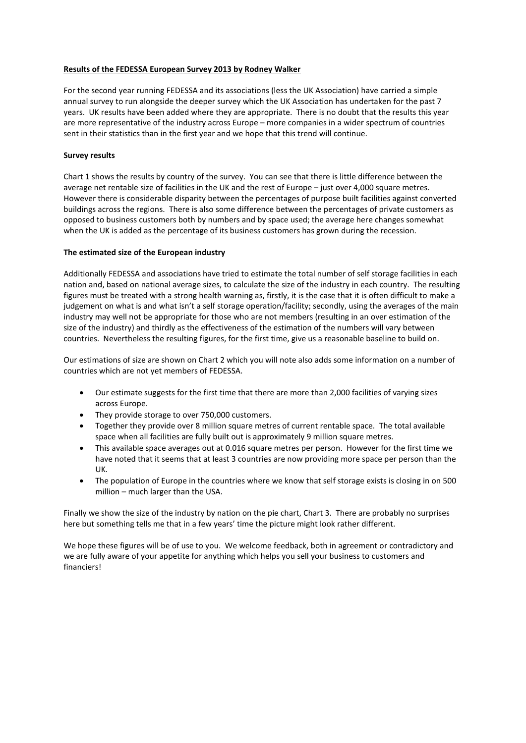## **Results of the FEDESSA European Survey 2013 by Rodney Walker**

For the second year running FEDESSA and its associations (less the UK Association) have carried a simple annual survey to run alongside the deeper survey which the UK Association has undertaken for the past 7 years. UK results have been added where they are appropriate. There is no doubt that the results this year are more representative of the industry across Europe – more companies in a wider spectrum of countries sent in their statistics than in the first year and we hope that this trend will continue.

## **Survey results**

Chart 1 shows the results by country of the survey. You can see that there is little difference between the average net rentable size of facilities in the UK and the rest of Europe – just over 4,000 square metres. However there is considerable disparity between the percentages of purpose built facilities against converted buildings across the regions. There is also some difference between the percentages of private customers as opposed to business customers both by numbers and by space used; the average here changes somewhat when the UK is added as the percentage of its business customers has grown during the recession.

## **The estimated size of the European industry**

Additionally FEDESSA and associations have tried to estimate the total number of self storage facilities in each nation and, based on national average sizes, to calculate the size of the industry in each country. The resulting figures must be treated with a strong health warning as, firstly, it is the case that it is often difficult to make a judgement on what is and what isn't a self storage operation/facility; secondly, using the averages of the main industry may well not be appropriate for those who are not members (resulting in an over estimation of the size of the industry) and thirdly as the effectiveness of the estimation of the numbers will vary between countries. Nevertheless the resulting figures, for the first time, give us a reasonable baseline to build on.

Our estimations of size are shown on Chart 2 which you will note also adds some information on a number of countries which are not yet members of FEDESSA.

- Our estimate suggests for the first time that there are more than 2,000 facilities of varying sizes across Europe.
- They provide storage to over 750,000 customers.
- Together they provide over 8 million square metres of current rentable space. The total available space when all facilities are fully built out is approximately 9 million square metres.
- This available space averages out at 0.016 square metres per person. However for the first time we have noted that it seems that at least 3 countries are now providing more space per person than the UK.
- The population of Europe in the countries where we know that self storage exists is closing in on 500 million – much larger than the USA.

Finally we show the size of the industry by nation on the pie chart, Chart 3. There are probably no surprises here but something tells me that in a few years' time the picture might look rather different.

We hope these figures will be of use to you. We welcome feedback, both in agreement or contradictory and we are fully aware of your appetite for anything which helps you sell your business to customers and financiers!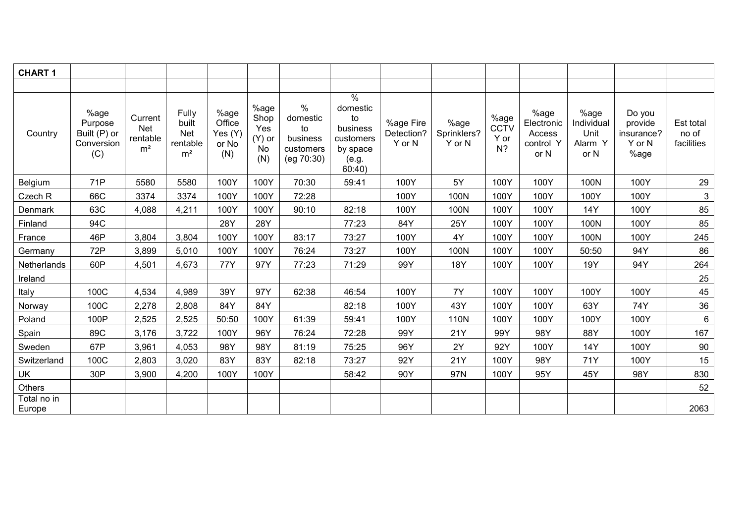| <b>CHART 1</b>        |                                                      |                                              |                                                            |                                           |                                              |                                                               |                                                                                                   |                                   |                               |                               |                                                   |                                               |                                                   |                                  |
|-----------------------|------------------------------------------------------|----------------------------------------------|------------------------------------------------------------|-------------------------------------------|----------------------------------------------|---------------------------------------------------------------|---------------------------------------------------------------------------------------------------|-----------------------------------|-------------------------------|-------------------------------|---------------------------------------------------|-----------------------------------------------|---------------------------------------------------|----------------------------------|
|                       |                                                      |                                              |                                                            |                                           |                                              |                                                               |                                                                                                   |                                   |                               |                               |                                                   |                                               |                                                   |                                  |
| Country               | %age<br>Purpose<br>Built (P) or<br>Conversion<br>(C) | Current<br>Net<br>rentable<br>m <sup>2</sup> | Fully<br>built<br><b>Net</b><br>rentable<br>m <sup>2</sup> | %age<br>Office<br>Yes (Y)<br>or No<br>(N) | %age<br>Shop<br>Yes<br>$(Y)$ or<br>No<br>(N) | $\%$<br>domestic<br>to<br>business<br>customers<br>(eg 70:30) | $\frac{1}{\sqrt{2}}$<br>domestic<br>to<br>business<br>customers<br>by space<br>(e.g.<br>$60:40$ ) | %age Fire<br>Detection?<br>Y or N | %age<br>Sprinklers?<br>Y or N | %age<br>CCTV<br>Y or<br>$N$ ? | %age<br>Electronic<br>Access<br>control Y<br>or N | %age<br>Individual<br>Unit<br>Alarm Y<br>or N | Do you<br>provide<br>insurance?<br>Y or N<br>%age | Est total<br>no of<br>facilities |
| Belgium               | 71P                                                  | 5580                                         | 5580                                                       | 100Y                                      | 100Y                                         | 70:30                                                         | 59:41                                                                                             | 100Y                              | 5Y                            | 100Y                          | 100Y                                              | 100N                                          | 100Y                                              | 29                               |
| Czech R               | 66C                                                  | 3374                                         | 3374                                                       | 100Y                                      | 100Y                                         | 72:28                                                         |                                                                                                   | 100Y                              | 100N                          | 100Y                          | 100Y                                              | 100Y                                          | 100Y                                              | $\mathbf{3}$                     |
| Denmark               | 63C                                                  | 4,088                                        | 4,211                                                      | 100Y                                      | 100Y                                         | 90:10                                                         | 82:18                                                                                             | 100Y                              | 100N                          | 100Y                          | 100Y                                              | 14Y                                           | 100Y                                              | 85                               |
| Finland               | 94C                                                  |                                              |                                                            | 28Y                                       | 28Y                                          |                                                               | 77:23                                                                                             | 84Y                               | 25Y                           | 100Y                          | 100Y                                              | 100N                                          | 100Y                                              | 85                               |
| France                | 46P                                                  | 3,804                                        | 3,804                                                      | 100Y                                      | 100Y                                         | 83:17                                                         | 73:27                                                                                             | 100Y                              | 4Y                            | 100Y                          | 100Y                                              | 100N                                          | 100Y                                              | 245                              |
| Germany               | 72P                                                  | 3,899                                        | 5,010                                                      | 100Y                                      | 100Y                                         | 76:24                                                         | 73:27                                                                                             | 100Y                              | 100N                          | 100Y                          | 100Y                                              | 50:50                                         | 94Y                                               | 86                               |
| Netherlands           | 60P                                                  | 4,501                                        | 4,673                                                      | 77Y                                       | 97Y                                          | 77:23                                                         | 71:29                                                                                             | 99Y                               | 18Y                           | 100Y                          | 100Y                                              | 19Y                                           | 94Y                                               | 264                              |
| Ireland               |                                                      |                                              |                                                            |                                           |                                              |                                                               |                                                                                                   |                                   |                               |                               |                                                   |                                               |                                                   | 25                               |
| Italy                 | 100C                                                 | 4,534                                        | 4,989                                                      | 39Y                                       | 97Y                                          | 62:38                                                         | 46:54                                                                                             | 100Y                              | 7Y                            | 100Y                          | 100Y                                              | 100Y                                          | 100Y                                              | 45                               |
| Norway                | 100C                                                 | 2,278                                        | 2,808                                                      | 84Y                                       | 84Y                                          |                                                               | 82:18                                                                                             | 100Y                              | 43Y                           | 100Y                          | 100Y                                              | 63Y                                           | 74Y                                               | 36                               |
| Poland                | 100P                                                 | 2,525                                        | 2,525                                                      | 50:50                                     | 100Y                                         | 61:39                                                         | 59:41                                                                                             | 100Y                              | 110N                          | 100Y                          | 100Y                                              | 100Y                                          | 100Y                                              | $6\phantom{.}6$                  |
| Spain                 | 89C                                                  | 3,176                                        | 3,722                                                      | 100Y                                      | 96Y                                          | 76:24                                                         | 72:28                                                                                             | 99Y                               | 21Y                           | 99Y                           | 98Y                                               | 88Y                                           | 100Y                                              | 167                              |
| Sweden                | 67P                                                  | 3,961                                        | 4,053                                                      | 98Y                                       | 98Y                                          | 81:19                                                         | 75:25                                                                                             | 96Y                               | 2Y                            | 92Y                           | 100Y                                              | 14Y                                           | 100Y                                              | 90                               |
| Switzerland           | 100C                                                 | 2,803                                        | 3,020                                                      | 83Y                                       | 83Y                                          | 82:18                                                         | 73:27                                                                                             | 92Y                               | 21Y                           | 100Y                          | 98Y                                               | 71Y                                           | 100Y                                              | 15                               |
| UK                    | 30P                                                  | 3,900                                        | 4,200                                                      | 100Y                                      | 100Y                                         |                                                               | 58:42                                                                                             | 90Y                               | 97N                           | 100Y                          | 95Y                                               | 45Y                                           | 98Y                                               | 830                              |
| Others                |                                                      |                                              |                                                            |                                           |                                              |                                                               |                                                                                                   |                                   |                               |                               |                                                   |                                               |                                                   | 52                               |
| Total no in<br>Europe |                                                      |                                              |                                                            |                                           |                                              |                                                               |                                                                                                   |                                   |                               |                               |                                                   |                                               |                                                   | 2063                             |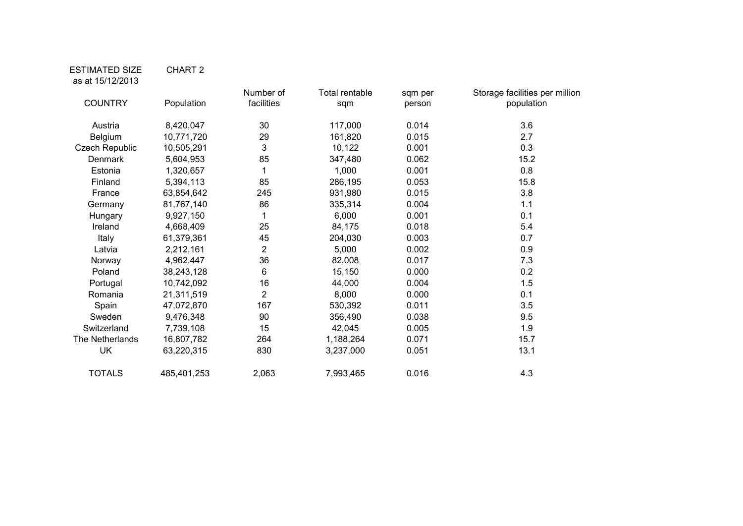## ESTIMATED SIZE CHART 2 as at 15/12/2013

| <b>COUNTRY</b>        | Population  | Number of<br>facilities | Total rentable<br>sqm | sqm per<br>person | Storage facilities per million<br>population |
|-----------------------|-------------|-------------------------|-----------------------|-------------------|----------------------------------------------|
| Austria               | 8,420,047   | 30                      | 117,000               | 0.014             | 3.6                                          |
| Belgium               | 10,771,720  | 29                      | 161,820               | 0.015             | 2.7                                          |
| <b>Czech Republic</b> | 10,505,291  | 3                       | 10,122                | 0.001             | 0.3                                          |
| Denmark               | 5,604,953   | 85                      | 347,480               | 0.062             | 15.2                                         |
| Estonia               | 1,320,657   | 1                       | 1,000                 | 0.001             | 0.8                                          |
| Finland               | 5,394,113   | 85                      | 286,195               | 0.053             | 15.8                                         |
| France                | 63,854,642  | 245                     | 931,980               | 0.015             | 3.8                                          |
| Germany               | 81,767,140  | 86                      | 335,314               | 0.004             | 1.1                                          |
| Hungary               | 9,927,150   | 1                       | 6,000                 | 0.001             | 0.1                                          |
| Ireland               | 4,668,409   | 25                      | 84,175                | 0.018             | 5.4                                          |
| Italy                 | 61,379,361  | 45                      | 204,030               | 0.003             | 0.7                                          |
| Latvia                | 2,212,161   | $\overline{2}$          | 5,000                 | 0.002             | 0.9                                          |
| Norway                | 4,962,447   | 36                      | 82,008                | 0.017             | 7.3                                          |
| Poland                | 38,243,128  | 6                       | 15,150                | 0.000             | 0.2                                          |
| Portugal              | 10,742,092  | 16                      | 44,000                | 0.004             | 1.5                                          |
| Romania               | 21,311,519  | $\overline{2}$          | 8,000                 | 0.000             | 0.1                                          |
| Spain                 | 47,072,870  | 167                     | 530,392               | 0.011             | 3.5                                          |
| Sweden                | 9,476,348   | 90                      | 356,490               | 0.038             | 9.5                                          |
| Switzerland           | 7,739,108   | 15                      | 42,045                | 0.005             | 1.9                                          |
| The Netherlands       | 16,807,782  | 264                     | 1,188,264             | 0.071             | 15.7                                         |
| UK                    | 63,220,315  | 830                     | 3,237,000             | 0.051             | 13.1                                         |
| <b>TOTALS</b>         | 485,401,253 | 2,063                   | 7,993,465             | 0.016             | 4.3                                          |